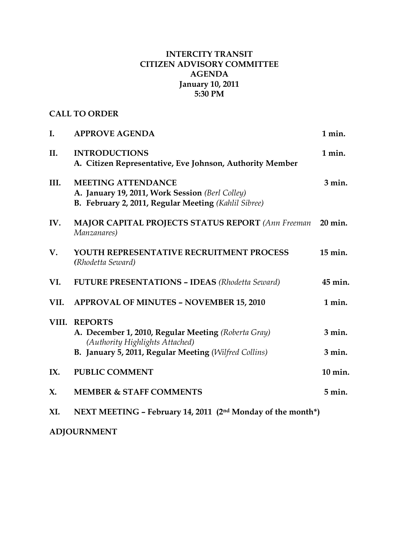# **INTERCITY TRANSIT CITIZEN ADVISORY COMMITTEE AGENDA January 10, 2011 5:30 PM**

# **CALL TO ORDER**

| I.   | <b>APPROVE AGENDA</b>                                                                                                                | 1 min.           |
|------|--------------------------------------------------------------------------------------------------------------------------------------|------------------|
| II.  | <b>INTRODUCTIONS</b><br>A. Citizen Representative, Eve Johnson, Authority Member                                                     | 1 min.           |
| III. | <b>MEETING ATTENDANCE</b><br>A. January 19, 2011, Work Session (Berl Colley)<br>B. February 2, 2011, Regular Meeting (Kahlil Sibree) | $3$ min.         |
| IV.  | <b>MAJOR CAPITAL PROJECTS STATUS REPORT (Ann Freeman</b><br>Manzanares)                                                              | 20 min.          |
| V.   | <b>YOUTH REPRESENTATIVE RECRUITMENT PROCESS</b><br>(Rhodetta Seward)                                                                 | 15 min.          |
| VI.  | <b>FUTURE PRESENTATIONS - IDEAS (Rhodetta Seward)</b>                                                                                | 45 min.          |
| VII. | <b>APPROVAL OF MINUTES - NOVEMBER 15, 2010</b>                                                                                       | 1 min.           |
|      | VIII. REPORTS<br>A. December 1, 2010, Regular Meeting (Roberta Gray)<br>(Authority Highlights Attached)                              | $3$ min.         |
|      | B. January 5, 2011, Regular Meeting (Wilfred Collins)                                                                                | $3$ min.         |
| IX.  | <b>PUBLIC COMMENT</b>                                                                                                                | 10 min.          |
| X.   | <b>MEMBER &amp; STAFF COMMENTS</b>                                                                                                   | $5 \text{ min.}$ |
| XI.  | NEXT MEETING - February 14, 2011 (2 <sup>nd</sup> Monday of the month <sup>*</sup> )                                                 |                  |

# **ADJOURNMENT**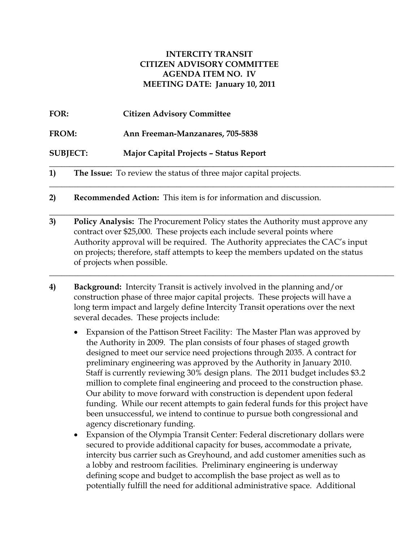### **INTERCITY TRANSIT CITIZEN ADVISORY COMMITTEE AGENDA ITEM NO. IV MEETING DATE: January 10, 2011**

| FOR:            | <b>Citizen Advisory Committee</b>                                |
|-----------------|------------------------------------------------------------------|
| <b>FROM:</b>    | Ann Freeman-Manzanares, 705-5838                                 |
| <b>SUBJECT:</b> | <b>Major Capital Projects - Status Report</b>                    |
|                 | The Issue: To review the status of three major capital projects. |

- **2) Recommended Action:** This item is for information and discussion.
- **3) Policy Analysis:** The Procurement Policy states the Authority must approve any contract over \$25,000. These projects each include several points where Authority approval will be required. The Authority appreciates the CAC's input on projects; therefore, staff attempts to keep the members updated on the status of projects when possible.

\_\_\_\_\_\_\_\_\_\_\_\_\_\_\_\_\_\_\_\_\_\_\_\_\_\_\_\_\_\_\_\_\_\_\_\_\_\_\_\_\_\_\_\_\_\_\_\_\_\_\_\_\_\_\_\_\_\_\_\_\_\_\_\_\_\_\_\_\_\_\_\_\_\_\_\_\_\_\_\_\_\_\_\_

\_\_\_\_\_\_\_\_\_\_\_\_\_\_\_\_\_\_\_\_\_\_\_\_\_\_\_\_\_\_\_\_\_\_\_\_\_\_\_\_\_\_\_\_\_\_\_\_\_\_\_\_\_\_\_\_\_\_\_\_\_\_\_\_\_\_\_\_\_\_\_\_\_\_\_\_\_\_\_\_\_\_\_\_

\_\_\_\_\_\_\_\_\_\_\_\_\_\_\_\_\_\_\_\_\_\_\_\_\_\_\_\_\_\_\_\_\_\_\_\_\_\_\_\_\_\_\_\_\_\_\_\_\_\_\_\_\_\_\_\_\_\_\_\_\_\_\_\_\_\_\_\_\_\_\_\_\_\_\_\_\_\_\_\_\_\_\_\_

- **4) Background:** Intercity Transit is actively involved in the planning and/or construction phase of three major capital projects. These projects will have a long term impact and largely define Intercity Transit operations over the next several decades. These projects include:
	- Expansion of the Pattison Street Facility: The Master Plan was approved by the Authority in 2009. The plan consists of four phases of staged growth designed to meet our service need projections through 2035. A contract for preliminary engineering was approved by the Authority in January 2010. Staff is currently reviewing 30% design plans. The 2011 budget includes \$3.2 million to complete final engineering and proceed to the construction phase. Our ability to move forward with construction is dependent upon federal funding. While our recent attempts to gain federal funds for this project have been unsuccessful, we intend to continue to pursue both congressional and agency discretionary funding.
	- Expansion of the Olympia Transit Center: Federal discretionary dollars were secured to provide additional capacity for buses, accommodate a private, intercity bus carrier such as Greyhound, and add customer amenities such as a lobby and restroom facilities. Preliminary engineering is underway defining scope and budget to accomplish the base project as well as to potentially fulfill the need for additional administrative space. Additional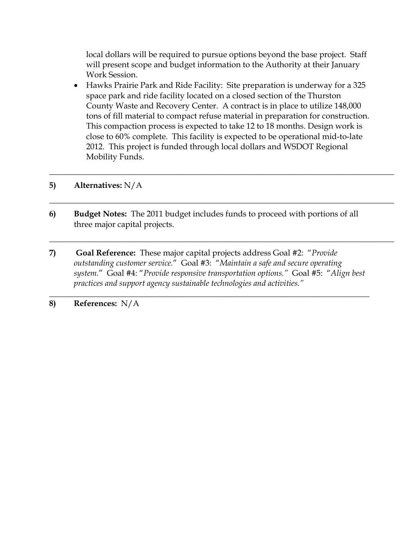local dollars will be required to pursue options beyond the base project. Staff will present scope and budget information to the Authority at their January Work Session.

• Hawks Prairie Park and Ride Facility: Site preparation is underway for a 325 space park and ride facility located on a closed section of the Thurston County Waste and Recovery Center. A contract is in place to utilize 148,000 tons of fill material to compact refuse material in preparation for construction. This compaction process is expected to take 12 to 18 months. Design work is close to 60% complete. This facility is expected to be operational mid-to-late 2012. This project is funded through local dollars and WSDOT Regional Mobility Funds.

\_\_\_\_\_\_\_\_\_\_\_\_\_\_\_\_\_\_\_\_\_\_\_\_\_\_\_\_\_\_\_\_\_\_\_\_\_\_\_\_\_\_\_\_\_\_\_\_\_\_\_\_\_\_\_\_\_\_\_\_\_\_\_\_\_\_\_\_\_\_\_\_\_\_\_\_\_\_\_\_\_\_\_\_

\_\_\_\_\_\_\_\_\_\_\_\_\_\_\_\_\_\_\_\_\_\_\_\_\_\_\_\_\_\_\_\_\_\_\_\_\_\_\_\_\_\_\_\_\_\_\_\_\_\_\_\_\_\_\_\_\_\_\_\_\_\_\_\_\_\_\_\_\_\_\_\_\_\_\_\_\_\_\_\_\_\_\_\_

\_\_\_\_\_\_\_\_\_\_\_\_\_\_\_\_\_\_\_\_\_\_\_\_\_\_\_\_\_\_\_\_\_\_\_\_\_\_\_\_\_\_\_\_\_\_\_\_\_\_\_\_\_\_\_\_\_\_\_\_\_\_\_\_\_\_\_\_\_\_\_\_\_\_\_\_\_\_\_\_\_\_\_\_

# **5) Alternatives:** N/A

- **6) Budget Notes:** The 2011 budget includes funds to proceed with portions of all three major capital projects.
- **7) Goal Reference:** These major capital projects address Goal #2: "*Provide outstanding customer service.*" Goal #3: "*Maintain a safe and secure operating system.*" Goal #4: "*Provide responsive transportation options."* Goal #5: "*Align best practices and support agency sustainable technologies and activities."*

\_\_\_\_\_\_\_\_\_\_\_\_\_\_\_\_\_\_\_\_\_\_\_\_\_\_\_\_\_\_\_\_\_\_\_\_\_\_\_\_\_\_\_\_\_\_\_\_\_\_\_\_\_\_\_\_\_\_\_\_\_\_\_\_\_\_\_\_\_\_\_\_\_\_\_\_\_\_

**8) References:** N/A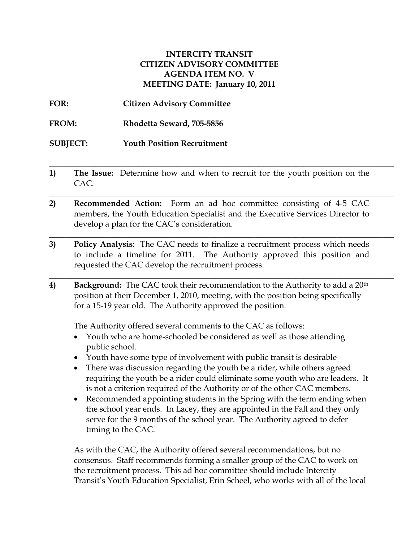### **INTERCITY TRANSIT CITIZEN ADVISORY COMMITTEE AGENDA ITEM NO. V MEETING DATE: January 10, 2011**

**FOR: Citizen Advisory Committee** 

**FROM: Rhodetta Seward, 705-5856** 

**SUBJECT: Youth Position Recruitment** 

**1) The Issue:** Determine how and when to recruit for the youth position on the CAC.

**\_\_\_\_\_\_\_\_\_\_\_\_\_\_\_\_\_\_\_\_\_\_\_\_\_\_\_\_\_\_\_\_\_\_\_\_\_\_\_\_\_\_\_\_\_\_\_\_\_\_\_\_\_\_\_\_\_\_\_\_\_\_\_\_\_\_\_\_\_\_\_\_\_\_\_\_\_\_\_\_\_\_\_\_** 

**\_\_\_\_\_\_\_\_\_\_\_\_\_\_\_\_\_\_\_\_\_\_\_\_\_\_\_\_\_\_\_\_\_\_\_\_\_\_\_\_\_\_\_\_\_\_\_\_\_\_\_\_\_\_\_\_\_\_\_\_\_\_\_\_\_\_\_\_\_\_\_\_\_\_\_\_\_\_\_\_\_\_\_\_** 

\_\_\_\_\_\_\_\_\_\_\_\_\_\_\_\_\_\_\_\_\_\_\_\_\_\_\_\_\_\_\_\_\_\_\_\_\_\_\_\_\_\_\_\_\_\_\_\_\_\_\_\_\_\_\_\_\_\_\_\_\_\_\_\_\_\_\_\_\_\_\_\_\_\_\_\_\_\_\_\_\_\_\_\_

\_\_\_\_\_\_\_\_\_\_\_\_\_\_\_\_\_\_\_\_\_\_\_\_\_\_\_\_\_\_\_\_\_\_\_\_\_\_\_\_\_\_\_\_\_\_\_\_\_\_\_\_\_\_\_\_\_\_\_\_\_\_\_\_\_\_\_\_\_\_\_\_\_\_\_\_\_\_\_\_\_\_\_\_

- **2) Recommended Action:** Form an ad hoc committee consisting of 4-5 CAC members, the Youth Education Specialist and the Executive Services Director to develop a plan for the CAC's consideration.
- **3) Policy Analysis:** The CAC needs to finalize a recruitment process which needs to include a timeline for 2011. The Authority approved this position and requested the CAC develop the recruitment process.
- **4) Background:** The CAC took their recommendation to the Authority to add a 20th position at their December 1, 2010, meeting, with the position being specifically for a 15-19 year old. The Authority approved the position.

The Authority offered several comments to the CAC as follows:

- Youth who are home-schooled be considered as well as those attending public school.
- Youth have some type of involvement with public transit is desirable
- There was discussion regarding the youth be a rider, while others agreed requiring the youth be a rider could eliminate some youth who are leaders. It is not a criterion required of the Authority or of the other CAC members.
- Recommended appointing students in the Spring with the term ending when the school year ends. In Lacey, they are appointed in the Fall and they only serve for the 9 months of the school year. The Authority agreed to defer timing to the CAC.

As with the CAC, the Authority offered several recommendations, but no consensus. Staff recommends forming a smaller group of the CAC to work on the recruitment process. This ad hoc committee should include Intercity Transit's Youth Education Specialist, Erin Scheel, who works with all of the local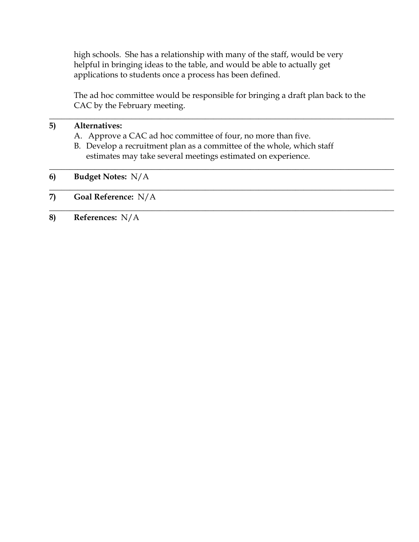high schools. She has a relationship with many of the staff, would be very helpful in bringing ideas to the table, and would be able to actually get applications to students once a process has been defined.

The ad hoc committee would be responsible for bringing a draft plan back to the CAC by the February meeting.

\_\_\_\_\_\_\_\_\_\_\_\_\_\_\_\_\_\_\_\_\_\_\_\_\_\_\_\_\_\_\_\_\_\_\_\_\_\_\_\_\_\_\_\_\_\_\_\_\_\_\_\_\_\_\_\_\_\_\_\_\_\_\_\_\_\_\_\_\_\_\_\_\_\_\_\_\_\_\_\_\_\_\_\_

\_\_\_\_\_\_\_\_\_\_\_\_\_\_\_\_\_\_\_\_\_\_\_\_\_\_\_\_\_\_\_\_\_\_\_\_\_\_\_\_\_\_\_\_\_\_\_\_\_\_\_\_\_\_\_\_\_\_\_\_\_\_\_\_\_\_\_\_\_\_\_\_\_\_\_\_\_\_\_\_\_\_\_\_

\_\_\_\_\_\_\_\_\_\_\_\_\_\_\_\_\_\_\_\_\_\_\_\_\_\_\_\_\_\_\_\_\_\_\_\_\_\_\_\_\_\_\_\_\_\_\_\_\_\_\_\_\_\_\_\_\_\_\_\_\_\_\_\_\_\_\_\_\_\_\_\_\_\_\_\_\_\_\_\_\_\_\_\_

\_\_\_\_\_\_\_\_\_\_\_\_\_\_\_\_\_\_\_\_\_\_\_\_\_\_\_\_\_\_\_\_\_\_\_\_\_\_\_\_\_\_\_\_\_\_\_\_\_\_\_\_\_\_\_\_\_\_\_\_\_\_\_\_\_\_\_\_\_\_\_\_\_\_\_\_\_\_\_\_\_\_\_\_

## **5) Alternatives:**

- A. Approve a CAC ad hoc committee of four, no more than five.
- B. Develop a recruitment plan as a committee of the whole, which staff estimates may take several meetings estimated on experience.

## **6) Budget Notes:** N/A

- **7) Goal Reference:** N/A
- **8) References:** N/A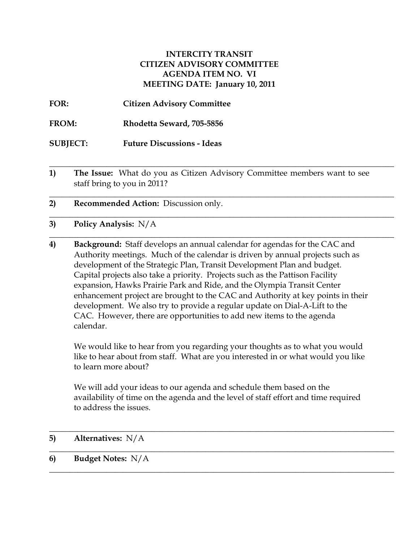### **INTERCITY TRANSIT CITIZEN ADVISORY COMMITTEE AGENDA ITEM NO. VI MEETING DATE: January 10, 2011**

**FOR: Citizen Advisory Committee** 

**FROM: Rhodetta Seward, 705-5856** 

**SUBJECT: Future Discussions - Ideas** 

**1) The Issue:** What do you as Citizen Advisory Committee members want to see staff bring to you in 2011?

**\_\_\_\_\_\_\_\_\_\_\_\_\_\_\_\_\_\_\_\_\_\_\_\_\_\_\_\_\_\_\_\_\_\_\_\_\_\_\_\_\_\_\_\_\_\_\_\_\_\_\_\_\_\_\_\_\_\_\_\_\_\_\_\_\_\_\_\_\_\_\_\_\_\_\_\_\_\_\_\_\_\_\_\_** 

**\_\_\_\_\_\_\_\_\_\_\_\_\_\_\_\_\_\_\_\_\_\_\_\_\_\_\_\_\_\_\_\_\_\_\_\_\_\_\_\_\_\_\_\_\_\_\_\_\_\_\_\_\_\_\_\_\_\_\_\_\_\_\_\_\_\_\_\_\_\_\_\_\_\_\_\_\_\_\_\_\_\_\_\_** 

\_\_\_\_\_\_\_\_\_\_\_\_\_\_\_\_\_\_\_\_\_\_\_\_\_\_\_\_\_\_\_\_\_\_\_\_\_\_\_\_\_\_\_\_\_\_\_\_\_\_\_\_\_\_\_\_\_\_\_\_\_\_\_\_\_\_\_\_\_\_\_\_\_\_\_\_\_\_\_\_\_\_\_\_

\_\_\_\_\_\_\_\_\_\_\_\_\_\_\_\_\_\_\_\_\_\_\_\_\_\_\_\_\_\_\_\_\_\_\_\_\_\_\_\_\_\_\_\_\_\_\_\_\_\_\_\_\_\_\_\_\_\_\_\_\_\_\_\_\_\_\_\_\_\_\_\_\_\_\_\_\_\_\_\_\_\_\_\_

- **2) Recommended Action:** Discussion only.
- **3) Policy Analysis:** N/A
- **4) Background:** Staff develops an annual calendar for agendas for the CAC and Authority meetings. Much of the calendar is driven by annual projects such as development of the Strategic Plan, Transit Development Plan and budget. Capital projects also take a priority. Projects such as the Pattison Facility expansion, Hawks Prairie Park and Ride, and the Olympia Transit Center enhancement project are brought to the CAC and Authority at key points in their development. We also try to provide a regular update on Dial-A-Lift to the CAC. However, there are opportunities to add new items to the agenda calendar.

We would like to hear from you regarding your thoughts as to what you would like to hear about from staff. What are you interested in or what would you like to learn more about?

We will add your ideas to our agenda and schedule them based on the availability of time on the agenda and the level of staff effort and time required to address the issues.

\_\_\_\_\_\_\_\_\_\_\_\_\_\_\_\_\_\_\_\_\_\_\_\_\_\_\_\_\_\_\_\_\_\_\_\_\_\_\_\_\_\_\_\_\_\_\_\_\_\_\_\_\_\_\_\_\_\_\_\_\_\_\_\_\_\_\_\_\_\_\_\_\_\_\_\_\_\_\_\_\_\_\_\_

\_\_\_\_\_\_\_\_\_\_\_\_\_\_\_\_\_\_\_\_\_\_\_\_\_\_\_\_\_\_\_\_\_\_\_\_\_\_\_\_\_\_\_\_\_\_\_\_\_\_\_\_\_\_\_\_\_\_\_\_\_\_\_\_\_\_\_\_\_\_\_\_\_\_\_\_\_\_\_\_\_\_\_\_

\_\_\_\_\_\_\_\_\_\_\_\_\_\_\_\_\_\_\_\_\_\_\_\_\_\_\_\_\_\_\_\_\_\_\_\_\_\_\_\_\_\_\_\_\_\_\_\_\_\_\_\_\_\_\_\_\_\_\_\_\_\_\_\_\_\_\_\_\_\_\_\_\_\_\_\_\_\_\_\_\_\_\_\_

**5) Alternatives:** N/A

### **6) Budget Notes:** N/A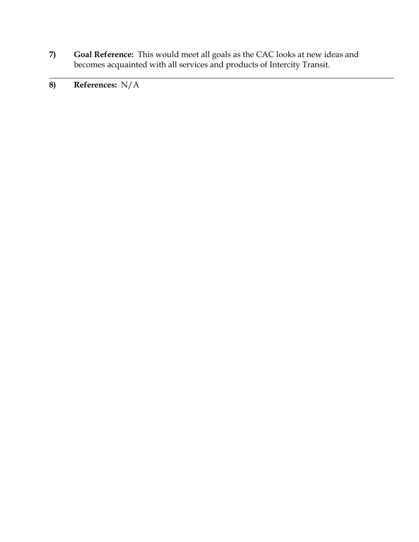**7) Goal Reference:** This would meet all goals as the CAC looks at new ideas and becomes acquainted with all services and products of Intercity Transit.

\_\_\_\_\_\_\_\_\_\_\_\_\_\_\_\_\_\_\_\_\_\_\_\_\_\_\_\_\_\_\_\_\_\_\_\_\_\_\_\_\_\_\_\_\_\_\_\_\_\_\_\_\_\_\_\_\_\_\_\_\_\_\_\_\_\_\_\_\_\_\_\_\_\_\_\_\_\_\_\_\_\_\_\_

**8) References:** N/A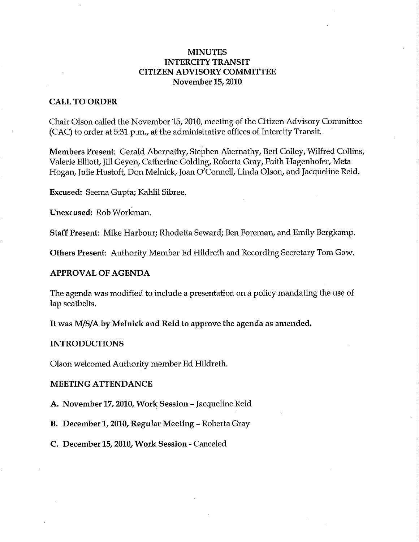### **MINUTES INTERCITY TRANSIT CITIZEN ADVISORY COMMITTEE November 15, 2010**

#### **CALL TO ORDER**

Chair Olson called the November 15, 2010, meeting of the Citizen Advisory Committee (CAC) to order at 5:31 p.m., at the administrative offices of Intercity Transit.

Members Present: Gerald Abernathy, Stephen Abernathy, Berl Colley, Wilfred Collins, Valerie Elliott, Jill Geyen, Catherine Golding, Roberta Gray, Faith Hagenhofer, Meta Hogan, Julie Hustoft, Don Melnick, Joan O'Connell, Linda Olson, and Jacqueline Reid.

Excused: Seema Gupta; Kahlil Sibree.

Unexcused: Rob Workman.

Staff Present: Mike Harbour; Rhodetta Seward; Ben Foreman, and Emily Bergkamp.

Others Present: Authority Member Ed Hildreth and Recording Secretary Tom Gow.

#### **APPROVAL OF AGENDA**

The agenda was modified to include a presentation on a policy mandating the use of lap seatbelts.

It was M/S/A by Melnick and Reid to approve the agenda as amended.

#### **INTRODUCTIONS**

Olson welcomed Authority member Ed Hildreth.

#### **MEETING ATTENDANCE**

A. November 17, 2010, Work Session - Jacqueline Reid

B. December 1, 2010, Regular Meeting - Roberta Gray

C. December 15, 2010, Work Session - Canceled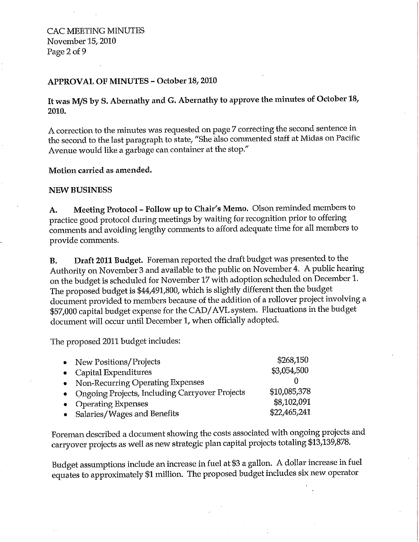**CAC MEETING MINUTES** November 15, 2010 Page 2 of 9

#### **APPROVAL OF MINUTES - October 18, 2010**

It was M/S by S. Abernathy and G. Abernathy to approve the minutes of October 18, 2010.

A correction to the minutes was requested on page 7 correcting the second sentence in the second to the last paragraph to state, "She also commented staff at Midas on Pacific Avenue would like a garbage can container at the stop."

Motion carried as amended.

#### **NEW BUSINESS**

Meeting Protocol - Follow up to Chair's Memo. Olson reminded members to A. practice good protocol during meetings by waiting for recognition prior to offering comments and avoiding lengthy comments to afford adequate time for all members to provide comments.

Draft 2011 Budget. Foreman reported the draft budget was presented to the **B.** Authority on November 3 and available to the public on November 4. A public hearing on the budget is scheduled for November 17 with adoption scheduled on December 1. The proposed budget is \$44,491,800, which is slightly different then the budget document provided to members because of the addition of a rollover project involving a \$57,000 capital budget expense for the CAD/AVL system. Fluctuations in the budget document will occur until December 1, when officially adopted.

The proposed 2011 budget includes:

| • New Positions/Projects                         | \$268,150    |
|--------------------------------------------------|--------------|
| • Capital Expenditures                           | \$3,054,500  |
| • Non-Recurring Operating Expenses               |              |
| • Ongoing Projects, Including Carryover Projects | \$10,085,378 |
| • Operating Expenses                             | \$8,102,091  |
| • Salaries/Wages and Benefits                    | \$22,465,241 |

Foreman described a document showing the costs associated with ongoing projects and carryover projects as well as new strategic plan capital projects totaling \$13,139,878.

Budget assumptions include an increase in fuel at \$3 a gallon. A dollar increase in fuel equates to approximately \$1 million. The proposed budget includes six new operator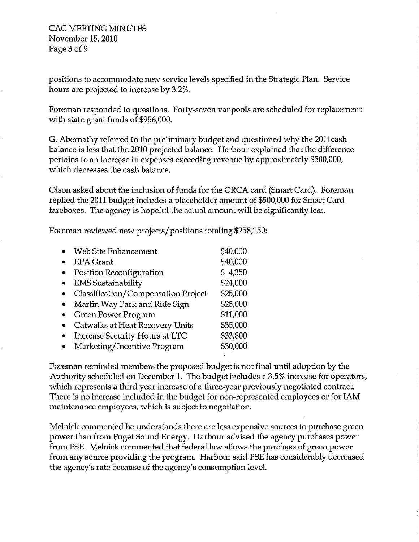**CAC MEETING MINUTES** November 15, 2010 Page 3 of 9

positions to accommodate new service levels specified in the Strategic Plan. Service hours are projected to increase by 3.2%.

Foreman responded to questions. Forty-seven vanpools are scheduled for replacement with state grant funds of \$956,000.

G. Abernathy referred to the preliminary budget and questioned why the 2011 cash balance is less that the 2010 projected balance. Harbour explained that the difference pertains to an increase in expenses exceeding revenue by approximately \$500,000, which decreases the cash balance.

Olson asked about the inclusion of funds for the ORCA card (Smart Card). Foreman replied the 2011 budget includes a placeholder amount of \$500,000 for Smart Card fareboxes. The agency is hopeful the actual amount will be significantly less.

Foreman reviewed new projects/positions totaling \$258,150:

|           | Web Site Enhancement                  | \$40,000 |
|-----------|---------------------------------------|----------|
|           | <b>EPA Grant</b>                      | \$40,000 |
| $\bullet$ | Position Reconfiguration              | \$4,350  |
| $\bullet$ | <b>EMS</b> Sustainability             | \$24,000 |
| $\bullet$ | Classification/Compensation Project   | \$25,000 |
| $\bullet$ | Martin Way Park and Ride Sign         | \$25,000 |
|           | <b>Green Power Program</b>            | \$11,000 |
|           | Catwalks at Heat Recovery Units       | \$35,000 |
| $\bullet$ | <b>Increase Security Hours at LTC</b> | \$33,800 |
|           | Marketing/Incentive Program           | \$30,000 |
|           |                                       |          |

Foreman reminded members the proposed budget is not final until adoption by the Authority scheduled on December 1. The budget includes a 3.5% increase for operators, which represents a third year increase of a three-year previously negotiated contract. There is no increase included in the budget for non-represented employees or for IAM maintenance employees, which is subject to negotiation.

Melnick commented he understands there are less expensive sources to purchase green power than from Puget Sound Energy. Harbour advised the agency purchases power from PSE. Melnick commented that federal law allows the purchase of green power from any source providing the program. Harbour said PSE has considerably decreased the agency's rate because of the agency's consumption level.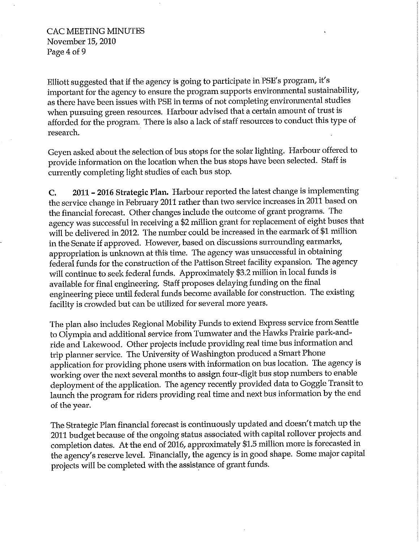**CAC MEETING MINUTES** November 15, 2010 Page 4 of 9

Elliott suggested that if the agency is going to participate in PSE's program, it's important for the agency to ensure the program supports environmental sustainability, as there have been issues with PSE in terms of not completing environmental studies when pursuing green resources. Harbour advised that a certain amount of trust is afforded for the program. There is also a lack of staff resources to conduct this type of research.

Geyen asked about the selection of bus stops for the solar lighting. Harbour offered to provide information on the location when the bus stops have been selected. Staff is currently completing light studies of each bus stop.

2011 - 2016 Strategic Plan. Harbour reported the latest change is implementing C. the service change in February 2011 rather than two service increases in 2011 based on the financial forecast. Other changes include the outcome of grant programs. The agency was successful in receiving a \$2 million grant for replacement of eight buses that will be delivered in 2012. The number could be increased in the earmark of \$1 million in the Senate if approved. However, based on discussions surrounding earmarks, appropriation is unknown at this time. The agency was unsuccessful in obtaining federal funds for the construction of the Pattison Street facility expansion. The agency will continue to seek federal funds. Approximately \$3.2 million in local funds is available for final engineering. Staff proposes delaying funding on the final engineering piece until federal funds become available for construction. The existing facility is crowded but can be utilized for several more years.

The plan also includes Regional Mobility Funds to extend Express service from Seattle to Olympia and additional service from Tumwater and the Hawks Prairie park-andride and Lakewood. Other projects include providing real time bus information and trip planner service. The University of Washington produced a Smart Phone application for providing phone users with information on bus location. The agency is working over the next several months to assign four-digit bus stop numbers to enable deployment of the application. The agency recently provided data to Goggle Transit to launch the program for riders providing real time and next bus information by the end of the year.

The Strategic Plan financial forecast is continuously updated and doesn't match up the 2011 budget because of the ongoing status associated with capital rollover projects and completion dates. At the end of 2016, approximately \$1.5 million more is forecasted in the agency's reserve level. Financially, the agency is in good shape. Some major capital projects will be completed with the assistance of grant funds.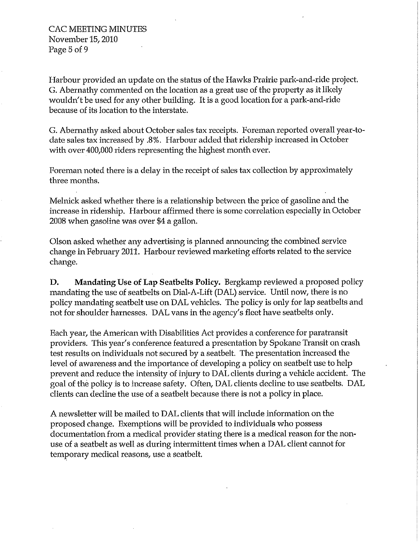Harbour provided an update on the status of the Hawks Prairie park-and-ride project. G. Abernathy commented on the location as a great use of the property as it likely wouldn't be used for any other building. It is a good location for a park-and-ride because of its location to the interstate.

G. Abernathy asked about October sales tax receipts. Foreman reported overall year-todate sales tax increased by .8%. Harbour added that ridership increased in October with over 400,000 riders representing the highest month ever.

Foreman noted there is a delay in the receipt of sales tax collection by approximately three months.

Melnick asked whether there is a relationship between the price of gasoline and the increase in ridership. Harbour affirmed there is some correlation especially in October 2008 when gasoline was over \$4 a gallon.

Olson asked whether any advertising is planned announcing the combined service change in February 2011. Harbour reviewed marketing efforts related to the service change.

Mandating Use of Lap Seatbelts Policy. Bergkamp reviewed a proposed policy D. mandating the use of seatbelts on Dial-A-Lift (DAL) service. Until now, there is no policy mandating seatbelt use on DAL vehicles. The policy is only for lap seatbelts and not for shoulder harnesses. DAL vans in the agency's fleet have seatbelts only.

Each year, the American with Disabilities Act provides a conference for paratransit providers. This year's conference featured a presentation by Spokane Transit on crash test results on individuals not secured by a seatbelt. The presentation increased the level of awareness and the importance of developing a policy on seatbelt use to help prevent and reduce the intensity of injury to DAL clients during a vehicle accident. The goal of the policy is to increase safety. Often, DAL clients decline to use seatbelts. DAL clients can decline the use of a seatbelt because there is not a policy in place.

A newsletter will be mailed to DAL clients that will include information on the proposed change. Exemptions will be provided to individuals who possess documentation from a medical provider stating there is a medical reason for the nonuse of a seatbelt as well as during intermittent times when a DAL client cannot for temporary medical reasons, use a seatbelt.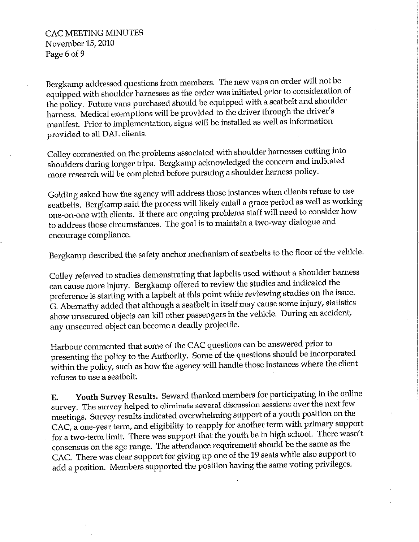CAC MEETING MINUTES November 15, 2010 Page 6 of 9

Bergkamp addressed questions from members. The new vans on order will not be equipped with shoulder harnesses as the order was initiated prior to consideration of the policy. Future vans purchased should be equipped with a seatbelt and shoulder harness. Medical exemptions will be provided to the driver through the driver's manifest. Prior to implementation, signs will be installed as well as information provided to all DAL clients.

Colley commented on the problems associated with shoulder harnesses cutting into shoulders during longer trips. Bergkamp acknowledged the concern and indicated more research will be completed before pursuing a shoulder harness policy.

Golding asked how the agency will address those instances when clients refuse to use seatbelts. Bergkamp said the process will likely entail a grace period as well as working one-on-one with clients. If there are ongoing problems staff will need to consider how to address those circumstances. The goal is to maintain a two-way dialogue and encourage compliance.

Bergkamp described the safety anchor mechanism of seatbelts to the floor of the vehicle.

Colley referred to studies demonstrating that lapbelts used without a shoulder harness can cause more injury. Bergkamp offered to review the studies and indicated the preference is starting with a lapbelt at this point while reviewing studies on the issue. G. Abernathy added that although a seatbelt in itself may cause some injury, statistics show unsecured objects can kill other passengers in the vehicle. During an accident, any unsecured object can become a deadly projectile.

Harbour commented that some of the CAC questions can be answered prior to presenting the policy to the Authority. Some of the questions should be incorporated within the policy, such as how the agency will handle those instances where the client refuses to use a seatbelt.

Youth Survey Results. Seward thanked members for participating in the online E. survey. The survey helped to eliminate several discussion sessions over the next few meetings. Survey results indicated overwhelming support of a youth position on the CAC, a one-year term, and eligibility to reapply for another term with primary support for a two-term limit. There was support that the youth be in high school. There wasn't consensus on the age range. The attendance requirement should be the same as the CAC. There was clear support for giving up one of the 19 seats while also support to add a position. Members supported the position having the same voting privileges.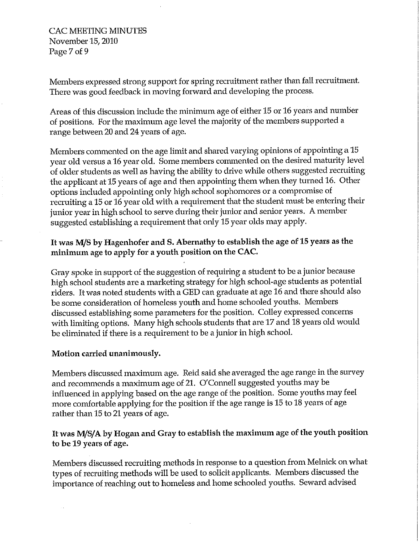**CAC MEETING MINUTES** November 15, 2010 Page 7 of 9

Members expressed strong support for spring recruitment rather than fall recruitment. There was good feedback in moving forward and developing the process.

Areas of this discussion include the minimum age of either 15 or 16 years and number of positions. For the maximum age level the majority of the members supported a range between 20 and 24 years of age.

Members commented on the age limit and shared varying opinions of appointing a 15 year old versus a 16 year old. Some members commented on the desired maturity level of older students as well as having the ability to drive while others suggested recruiting the applicant at 15 years of age and then appointing them when they turned 16. Other options included appointing only high school sophomores or a compromise of recruiting a 15 or 16 year old with a requirement that the student must be entering their junior year in high school to serve during their junior and senior years. A member suggested establishing a requirement that only 15 year olds may apply.

# It was M/S by Hagenhofer and S. Abernathy to establish the age of 15 years as the minimum age to apply for a youth position on the CAC.

Gray spoke in support of the suggestion of requiring a student to be a junior because high school students are a marketing strategy for high school-age students as potential riders. It was noted students with a GED can graduate at age 16 and there should also be some consideration of homeless youth and home schooled youths. Members discussed establishing some parameters for the position. Colley expressed concerns with limiting options. Many high schools students that are 17 and 18 years old would be eliminated if there is a requirement to be a junior in high school.

### Motion carried unanimously.

Members discussed maximum age. Reid said she averaged the age range in the survey and recommends a maximum age of 21. O'Connell suggested youths may be influenced in applying based on the age range of the position. Some youths may feel more comfortable applying for the position if the age range is 15 to 18 years of age rather than 15 to 21 years of age.

# It was M/S/A by Hogan and Gray to establish the maximum age of the youth position to be 19 years of age.

Members discussed recruiting methods in response to a question from Melnick on what types of recruiting methods will be used to solicit applicants. Members discussed the importance of reaching out to homeless and home schooled youths. Seward advised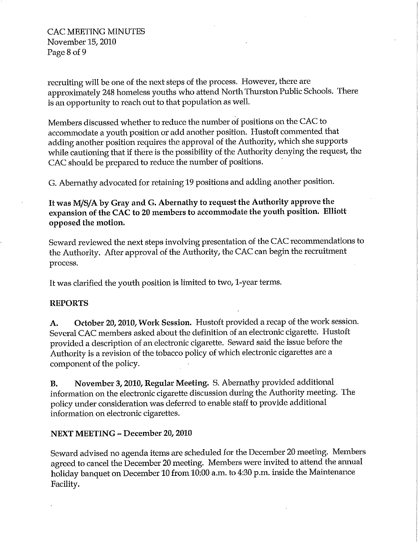**CAC MEETING MINUTES** November 15, 2010 Page 8 of 9

recruiting will be one of the next steps of the process. However, there are approximately 248 homeless youths who attend North Thurston Public Schools. There is an opportunity to reach out to that population as well.

Members discussed whether to reduce the number of positions on the CAC to accommodate a youth position or add another position. Hustoft commented that adding another position requires the approval of the Authority, which she supports while cautioning that if there is the possibility of the Authority denying the request, the CAC should be prepared to reduce the number of positions.

G. Abernathy advocated for retaining 19 positions and adding another position.

It was M/S/A by Gray and G. Abernathy to request the Authority approve the expansion of the CAC to 20 members to accommodate the youth position. Elliott opposed the motion.

Seward reviewed the next steps involving presentation of the CAC recommendations to the Authority. After approval of the Authority, the CAC can begin the recruitment process.

It was clarified the youth position is limited to two, 1-year terms.

### **REPORTS**

October 20, 2010, Work Session. Hustoft provided a recap of the work session. A. Several CAC members asked about the definition of an electronic cigarette. Hustoft provided a description of an electronic cigarette. Seward said the issue before the Authority is a revision of the tobacco policy of which electronic cigarettes are a component of the policy.

November 3, 2010, Regular Meeting. S. Abernathy provided additional **B.** information on the electronic cigarette discussion during the Authority meeting. The policy under consideration was deferred to enable staff to provide additional information on electronic cigarettes.

### **NEXT MEETING - December 20, 2010**

Seward advised no agenda items are scheduled for the December 20 meeting. Members agreed to cancel the December 20 meeting. Members were invited to attend the annual holiday banquet on December 10 from 10:00 a.m. to 4:30 p.m. inside the Maintenance Facility.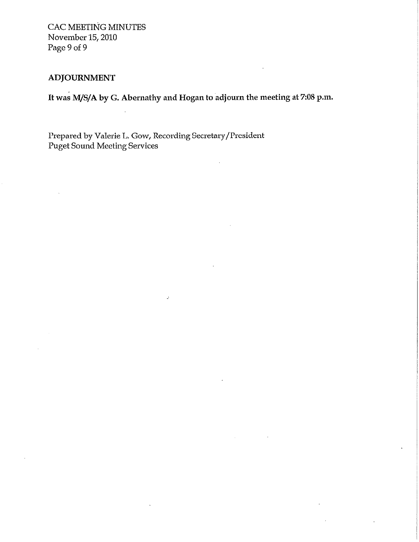CAC MEETING MINUTES November 15, 2010 Page 9 of 9

# **ADJOURNMENT**

It was M/S/A by G. Abernathy and Hogan to adjourn the meeting at 7:08 p.m.

Prepared by Valerie L. Gow, Recording Secretary/President Puget Sound Meeting Services

l.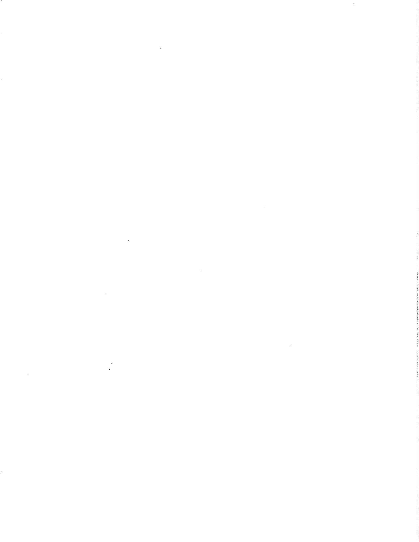$\sim$   $\sim$ 

 $\label{eq:2.1} \frac{1}{\sqrt{2}}\left(\frac{1}{\sqrt{2}}\right)^{2} \left(\frac{1}{\sqrt{2}}\right)^{2} \left(\frac{1}{\sqrt{2}}\right)^{2} \left(\frac{1}{\sqrt{2}}\right)^{2} \left(\frac{1}{\sqrt{2}}\right)^{2} \left(\frac{1}{\sqrt{2}}\right)^{2} \left(\frac{1}{\sqrt{2}}\right)^{2} \left(\frac{1}{\sqrt{2}}\right)^{2} \left(\frac{1}{\sqrt{2}}\right)^{2} \left(\frac{1}{\sqrt{2}}\right)^{2} \left(\frac{1}{\sqrt{2}}\right)^{2} \left(\$  $\label{eq:2.1} \frac{1}{\sqrt{2}}\left(\frac{1}{\sqrt{2}}\right)^{2} \left(\frac{1}{\sqrt{2}}\right)^{2} \left(\frac{1}{\sqrt{2}}\right)^{2} \left(\frac{1}{\sqrt{2}}\right)^{2} \left(\frac{1}{\sqrt{2}}\right)^{2} \left(\frac{1}{\sqrt{2}}\right)^{2} \left(\frac{1}{\sqrt{2}}\right)^{2} \left(\frac{1}{\sqrt{2}}\right)^{2} \left(\frac{1}{\sqrt{2}}\right)^{2} \left(\frac{1}{\sqrt{2}}\right)^{2} \left(\frac{1}{\sqrt{2}}\right)^{2} \left(\$ 

 $\label{eq:2.1} \frac{1}{\sqrt{2}}\int_{\mathbb{R}^3}\frac{1}{\sqrt{2}}\left(\frac{1}{\sqrt{2}}\right)^2\frac{1}{\sqrt{2}}\left(\frac{1}{\sqrt{2}}\right)^2\frac{1}{\sqrt{2}}\left(\frac{1}{\sqrt{2}}\right)^2\frac{1}{\sqrt{2}}\left(\frac{1}{\sqrt{2}}\right)^2.$  $\label{eq:2.1} \mathcal{L}(\mathcal{L}^{\mathcal{L}}_{\mathcal{L}}(\mathcal{L}^{\mathcal{L}}_{\mathcal{L}})) \leq \mathcal{L}(\mathcal{L}^{\mathcal{L}}_{\mathcal{L}}(\mathcal{L}^{\mathcal{L}}_{\mathcal{L}})) \leq \mathcal{L}(\mathcal{L}^{\mathcal{L}}_{\mathcal{L}}(\mathcal{L}^{\mathcal{L}}_{\mathcal{L}}))$ 

 $\label{eq:2.1} \frac{1}{\sqrt{2}}\left(\frac{1}{\sqrt{2}}\right)^{2} \left(\frac{1}{\sqrt{2}}\right)^{2} \left(\frac{1}{\sqrt{2}}\right)^{2} \left(\frac{1}{\sqrt{2}}\right)^{2} \left(\frac{1}{\sqrt{2}}\right)^{2} \left(\frac{1}{\sqrt{2}}\right)^{2} \left(\frac{1}{\sqrt{2}}\right)^{2} \left(\frac{1}{\sqrt{2}}\right)^{2} \left(\frac{1}{\sqrt{2}}\right)^{2} \left(\frac{1}{\sqrt{2}}\right)^{2} \left(\frac{1}{\sqrt{2}}\right)^{2} \left(\$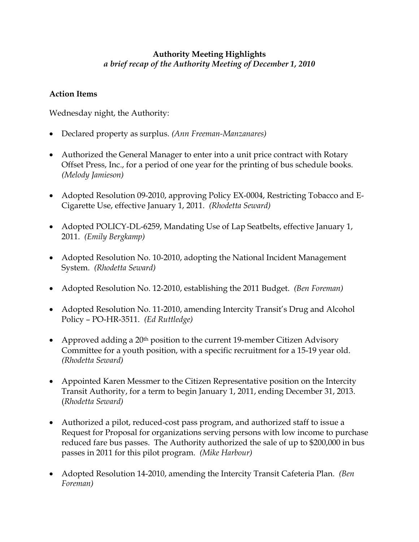# **Authority Meeting Highlights**  *a brief recap of the Authority Meeting of December 1, 2010*

# **Action Items**

Wednesday night, the Authority:

- Declared property as surplus. *(Ann Freeman-Manzanares)*
- Authorized the General Manager to enter into a unit price contract with Rotary Offset Press, Inc., for a period of one year for the printing of bus schedule books. *(Melody Jamieson)*
- Adopted Resolution 09-2010, approving Policy EX-0004, Restricting Tobacco and E-Cigarette Use, effective January 1, 2011. *(Rhodetta Seward)*
- Adopted POLICY-DL-6259, Mandating Use of Lap Seatbelts, effective January 1, 2011. *(Emily Bergkamp)*
- Adopted Resolution No. 10-2010, adopting the National Incident Management System. *(Rhodetta Seward)*
- Adopted Resolution No. 12-2010, establishing the 2011 Budget. *(Ben Foreman)*
- Adopted Resolution No. 11-2010, amending Intercity Transit's Drug and Alcohol Policy – PO-HR-3511. *(Ed Ruttledge)*
- Approved adding a  $20<sup>th</sup>$  position to the current 19-member Citizen Advisory Committee for a youth position, with a specific recruitment for a 15-19 year old. *(Rhodetta Seward)*
- Appointed Karen Messmer to the Citizen Representative position on the Intercity Transit Authority, for a term to begin January 1, 2011, ending December 31, 2013. (*Rhodetta Seward)*
- Authorized a pilot, reduced-cost pass program, and authorized staff to issue a Request for Proposal for organizations serving persons with low income to purchase reduced fare bus passes. The Authority authorized the sale of up to \$200,000 in bus passes in 2011 for this pilot program. *(Mike Harbour)*
- Adopted Resolution 14-2010, amending the Intercity Transit Cafeteria Plan. *(Ben Foreman)*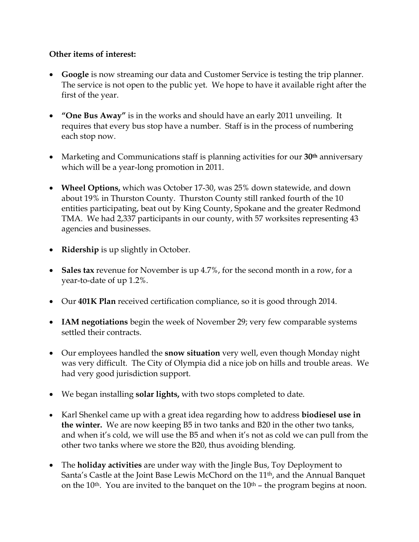# **Other items of interest:**

- **Google** is now streaming our data and Customer Service is testing the trip planner. The service is not open to the public yet. We hope to have it available right after the first of the year.
- **"One Bus Away"** is in the works and should have an early 2011 unveiling. It requires that every bus stop have a number. Staff is in the process of numbering each stop now.
- Marketing and Communications staff is planning activities for our **30th** anniversary which will be a year-long promotion in 2011.
- **Wheel Options,** which was October 17-30, was 25% down statewide, and down about 19% in Thurston County. Thurston County still ranked fourth of the 10 entities participating, beat out by King County, Spokane and the greater Redmond TMA. We had 2,337 participants in our county, with 57 worksites representing 43 agencies and businesses.
- **Ridership** is up slightly in October.
- **Sales tax** revenue for November is up 4.7%, for the second month in a row, for a year-to-date of up 1.2%.
- Our **401K Plan** received certification compliance, so it is good through 2014.
- **IAM negotiations** begin the week of November 29; very few comparable systems settled their contracts.
- Our employees handled the **snow situation** very well, even though Monday night was very difficult. The City of Olympia did a nice job on hills and trouble areas. We had very good jurisdiction support.
- We began installing **solar lights,** with two stops completed to date.
- Karl Shenkel came up with a great idea regarding how to address **biodiesel use in the winter.** We are now keeping B5 in two tanks and B20 in the other two tanks, and when it's cold, we will use the B5 and when it's not as cold we can pull from the other two tanks where we store the B20, thus avoiding blending.
- The **holiday activities** are under way with the Jingle Bus, Toy Deployment to Santa's Castle at the Joint Base Lewis McChord on the 11<sup>th</sup>, and the Annual Banquet on the  $10<sup>th</sup>$ . You are invited to the banquet on the  $10<sup>th</sup>$  – the program begins at noon.